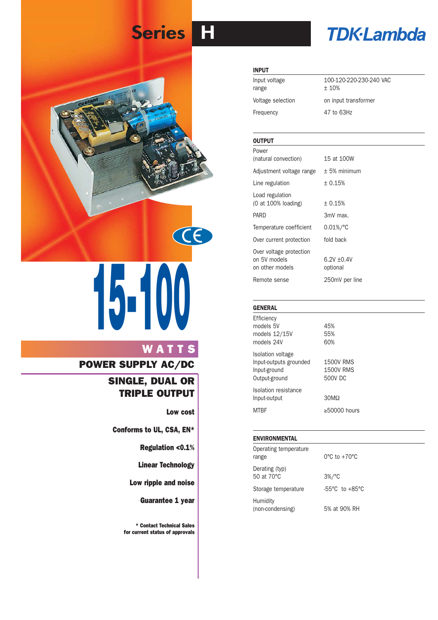# **Series H**



# **15-100**

# **WATTS**

## **POWER SUPPLY AC/DC**

## **SINGLE, DUAL OR TRIPLE OUTPUT**

**Low cost**

**Conforms to UL, CSA, EN\***

**Regulation <0.1%**

**Linear Technology**

**Low ripple and noise**

**Guarantee 1 year**

**\* Contact Technical Sales for current status of approvals**

# **TDK-Lambda**

#### **INPUT**

| Input voltage<br>range | 100-120-220-230-240 VAC<br>± 10% |
|------------------------|----------------------------------|
| Voltage selection      | on input transformer             |
| Frequency              | 47 to 63Hz                       |

#### **OUTPUT**

| Power                    |                |
|--------------------------|----------------|
| (natural convection)     | 15 at 100W     |
| Adjustment voltage range | $+5%$ minimum  |
| Line regulation          | ± 0.15%        |
| Load regulation          |                |
| (0 at 100% loading)      | ± 0.15%        |
| PARD                     | 3mV max.       |
| Temperature coefficient  | $0.01\%/°C$    |
| Over current protection  | fold back      |
| Over voltage protection  |                |
| on 5V models             | $6.2V + 0.4V$  |
| on other models          | optional       |
| Remote sense             | 250mV per line |

#### **GENERAL**

Efficiency models 5V 45% models  $12/15V$  55% models 24V 60% Isolation voltage

Input-outputs grounded 1500V RMS Input-ground 1500V RMS Output-ground 500V DC Isolation resistance Input-output 30MΩ

 $MTBF$   $\geq 50000$  hours

#### **ENVIRONMENTAL**

| Operating temperature<br>range | $0^{\circ}$ C to $+70^{\circ}$ C   |
|--------------------------------|------------------------------------|
| Derating (typ)<br>50 at 70 °C  | $3\%/^{\circ}C$                    |
| Storage temperature            | $-55^{\circ}$ C to $+85^{\circ}$ C |
| Humidity<br>(non-condensing)   | 5% at 90% RH                       |